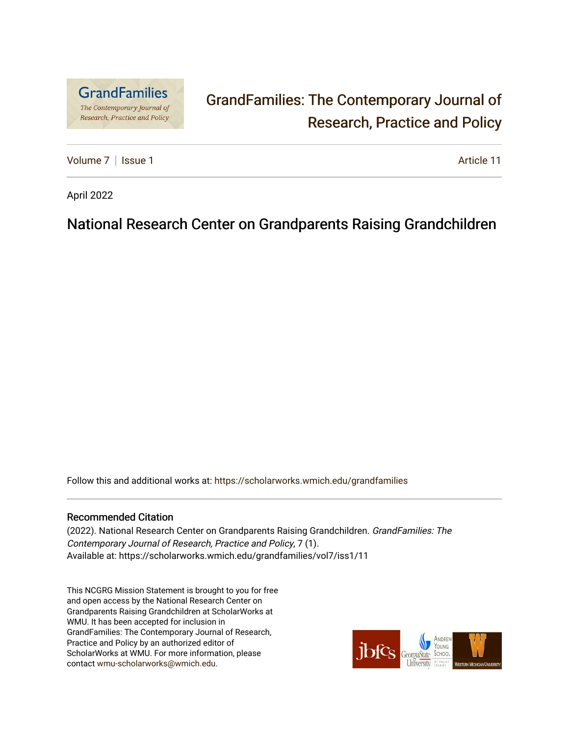

# [GrandFamilies: The Contemporary Journal of](https://scholarworks.wmich.edu/grandfamilies)  [Research, Practice and Policy](https://scholarworks.wmich.edu/grandfamilies)

[Volume 7](https://scholarworks.wmich.edu/grandfamilies/vol7) | [Issue 1](https://scholarworks.wmich.edu/grandfamilies/vol7/iss1) Article 11

April 2022

## National Research Center on Grandparents Raising Grandchildren

Follow this and additional works at: [https://scholarworks.wmich.edu/grandfamilies](https://scholarworks.wmich.edu/grandfamilies?utm_source=scholarworks.wmich.edu%2Fgrandfamilies%2Fvol7%2Fiss1%2F11&utm_medium=PDF&utm_campaign=PDFCoverPages)

#### Recommended Citation

(2022). National Research Center on Grandparents Raising Grandchildren. GrandFamilies: The Contemporary Journal of Research, Practice and Policy, 7 (1). Available at: https://scholarworks.wmich.edu/grandfamilies/vol7/iss1/11

This NCGRG Mission Statement is brought to you for free and open access by the National Research Center on Grandparents Raising Grandchildren at ScholarWorks at WMU. It has been accepted for inclusion in GrandFamilies: The Contemporary Journal of Research, Practice and Policy by an authorized editor of ScholarWorks at WMU. For more information, please contact [wmu-scholarworks@wmich.edu](mailto:wmu-scholarworks@wmich.edu).